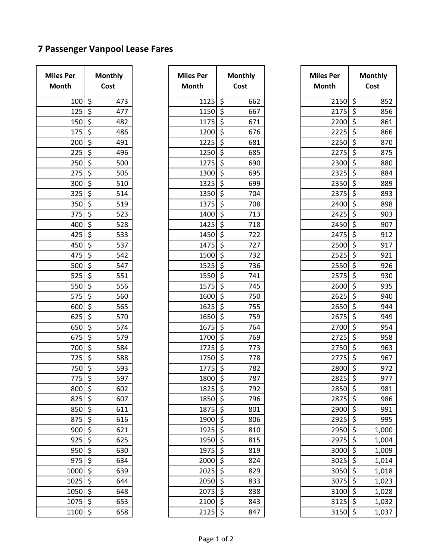## **7 Passenger Vanpool Lease Fares**

| <b>Miles Per</b><br><b>Month</b> | <b>Monthly</b><br>Cost           |  |  |
|----------------------------------|----------------------------------|--|--|
| 100                              | 473                              |  |  |
| 125                              | 477                              |  |  |
| 150                              | 482                              |  |  |
| 175                              | 486                              |  |  |
| 200                              | 491                              |  |  |
| $\frac{225}{2}$                  | 496                              |  |  |
| 250                              | 500                              |  |  |
| 275                              | 505                              |  |  |
| 300                              | 510                              |  |  |
| 325                              | 514                              |  |  |
| $\frac{350}{5}$                  | 519                              |  |  |
| 375                              | 523                              |  |  |
| 400                              | 528                              |  |  |
| 425                              | 533                              |  |  |
| 450                              | 537                              |  |  |
| 475                              | 542                              |  |  |
| 500                              | 547                              |  |  |
| $\overline{5}$ 25                | $\overline{551}$                 |  |  |
| 550                              | 556                              |  |  |
| 575                              | 560                              |  |  |
| 600                              | 565                              |  |  |
| 625                              | 570                              |  |  |
| 650                              | 574                              |  |  |
| 675                              | 579                              |  |  |
| 700                              | 584                              |  |  |
| 725                              | 588                              |  |  |
| 750                              | 593                              |  |  |
| $\overline{775}$                 | $\overline{597}$                 |  |  |
| 800                              | 602                              |  |  |
| 825                              | 607                              |  |  |
| 850                              | 611                              |  |  |
| 875                              | 616                              |  |  |
| 900                              | 621                              |  |  |
| 925                              | 625                              |  |  |
| 950                              | 630                              |  |  |
| 975                              | <u>११११११११११११११११११</u><br>634 |  |  |
| 1000                             | 639                              |  |  |
| 1025                             | 644                              |  |  |
| 1050                             | 648                              |  |  |
| 1075                             | 653                              |  |  |
| 1100                             | 658                              |  |  |

| <sup>o</sup> er | <b>Monthly</b>                 | <b>Miles Per</b>        |         | <b>Monthly</b> | <b>Miles Per</b> |                          | <b>Monthly</b> |
|-----------------|--------------------------------|-------------------------|---------|----------------|------------------|--------------------------|----------------|
| h               | Cost                           | <b>Month</b>            |         | Cost           | Month            |                          | Cost           |
| 100             | \$<br>473                      | 1125                    | $\zeta$ | 662            | 2150             | \$                       | 852            |
| 125             | \$<br>477                      | 1150                    | $\zeta$ | 667            | 2175             | \$                       | 856            |
| 150             | \$<br>482                      | 1175                    | \$      | 671            | 2200             | \$                       | 861            |
| 175             | \$<br>486                      | 1200                    | \$      | 676            | 2225             | \$                       | 866            |
| 200             | \$<br>491                      | 1225                    | \$      | 681            | 2250             | \$                       | 870            |
| 225             | \$<br>496                      | 1250                    | $\zeta$ | 685            | 2275             | $\zeta$                  | 875            |
| 250             | \$<br>500                      | 1275                    | $\zeta$ | 690            | 2300             | \$                       | 880            |
| 275             | \$<br>505                      | 1300                    | \$      | 695            | 2325             | $\zeta$                  | 884            |
| 300             | $\overline{\mathsf{S}}$<br>510 | 1325                    | $\zeta$ | 699            | 2350             | $\zeta$                  | 889            |
| 325             | \$<br>514                      | 1350                    | $\zeta$ | 704            | 2375             | \$                       | 893            |
| 350             | \$<br>519                      | 1375                    | $\zeta$ | 708            | 2400             | \$                       | 898            |
| 375             | \$<br>523                      | 1400                    | $\zeta$ | 713            | 2425             | $\zeta$                  | 903            |
| 400             | \$<br>528                      | 1425                    | \$      | 718            | 2450             | $\zeta$                  | 907            |
| 425             | \$<br>533                      | 1450                    | \$      | 722            | 2475             | \$                       | 912            |
| 450             | \$<br>537                      | 1475                    | \$      | 727            | 2500             | \$                       | 917            |
| 475             | \$<br>542                      | 1500                    | $\zeta$ | 732            | 2525             | \$                       | 921            |
| 500             | $\overline{\xi}$<br>547        | 1525                    | \$      | 736            | 2550             | $\overline{\varsigma}$   | 926            |
| 525             | \$<br>551                      | 1550                    | $\zeta$ | 741            | 2575             | $\zeta$                  | 930            |
| 550             | \$<br>556                      | 1575                    | $\zeta$ | 745            | 2600             | $\zeta$                  | 935            |
| 575             | \$<br>560                      | 1600                    | $\zeta$ | 750            | 2625             | \$                       | 940            |
| 600             | \$<br>565                      | 1625                    | \$      | 755            | 2650             | \$                       | 944            |
| 625             | \$<br>570                      | 1650                    | \$      | 759            | 2675             | \$                       | 949            |
| 650             | $\zeta$<br>574                 | 1675                    | $\zeta$ | 764            | 2700             | \$                       | 954            |
| 675             | \$<br>579                      | 1700                    | $\zeta$ | 769            | 2725             | \$                       | 958            |
| 700             | \$<br>584                      | 1725                    | \$      | 773            | 2750             | \$                       | 963            |
| 725             | \$<br>588                      | 1750                    | $\zeta$ | 778            | 2775             | \$                       | 967            |
| 750             | \$<br>593                      | 1775                    | \$      | 782            | 2800             | \$                       | 972            |
| $775$ \$        | 597                            | $1800 \frac{1}{5}$      |         | 787            | $2825$ \$        |                          | 977            |
| 800             | $\zeta$<br>602                 | $1825$ \$               |         | 792            | 2850 \$          |                          | 981            |
| $825$ \$        | 607                            | $1850 \mid \frac{1}{2}$ |         | 796            | $2875$ \$        |                          | 986            |
| 850             | \$<br>611                      | $1875$ \$               |         | 801            | 2900 \$          |                          | 991            |
| 875             | \$<br>616                      | 1900 \$                 |         | 806            | $2925$ \$        |                          | 995            |
| 900             | $\zeta$<br>621                 | $1925$ \$               |         | 810            | 2950 \$          |                          | 1,000          |
| 925             | \$<br>625                      | 1950 \$                 |         | 815            | $2975$ \$        |                          | 1,004          |
| 950             | $\zeta$<br>630                 | $1975$ \$               |         | 819            | 3000             | \$                       | 1,009          |
| 975             | \$<br>634                      | $2000$ \$               |         | 824            | $3025$ \$        |                          | 1,014          |
| 1000            | \$<br>639                      | 2025                    | $\zeta$ | 829            | $3050$ \$        |                          | 1,018          |
| 1025            | $\zeta$<br>644                 | $2050$ \$               |         | 833            | 3075 \$          |                          | 1,023          |
| 1050            | $\zeta$<br>648                 | $2075$ \$               |         | 838            | 3100             | $\zeta$                  | 1,028          |
| 1075            | $\zeta$<br>653                 | $2100$ \$               |         | 843            | 3125             | $\vert \mathsf{S} \vert$ | 1,032          |
| 1100            | \$<br>658                      | $2125$ \$               |         | 847            | $3150 \, \simeq$ |                          | 1,037          |

| <b>Miles Per</b><br>Month | <b>Monthly</b><br>Cost |  |  |
|---------------------------|------------------------|--|--|
| 2150                      | 852                    |  |  |
| 2175                      | 856                    |  |  |
| 2200                      | 861                    |  |  |
| 2225                      | 866                    |  |  |
| 2250                      | 870                    |  |  |
| 2275                      | 875                    |  |  |
| 2300                      | 880                    |  |  |
| 2325                      | 884                    |  |  |
| 2350                      | 889                    |  |  |
| 2375                      | 893                    |  |  |
| 2400                      | 898                    |  |  |
| 2425                      | 903                    |  |  |
| 2450                      | 907                    |  |  |
| 2475                      | 912                    |  |  |
| 2500                      | 917                    |  |  |
| 2525                      | 921                    |  |  |
| 2550                      | 926                    |  |  |
| 2575                      | 930                    |  |  |
| 2600                      | 935                    |  |  |
| 2625                      | 940                    |  |  |
| 2650                      | 944                    |  |  |
| 2675                      | 949                    |  |  |
| 2700                      | 954                    |  |  |
| 2725                      | 958                    |  |  |
| 2750                      | 963                    |  |  |
| 2775                      | 967                    |  |  |
| 2800                      | 972                    |  |  |
| 2825                      | 977                    |  |  |
| 2850                      | 981                    |  |  |
| 2875                      | 986                    |  |  |
| 2900                      | 991                    |  |  |
| 2925                      | 995                    |  |  |
| 2950                      | 1,000                  |  |  |
| 2975                      | <u>1,004</u>           |  |  |
| 3000                      | そうにする マック マック<br>1,009 |  |  |
| 3025                      | 1,014                  |  |  |
| 3050                      | 1,018                  |  |  |
| 3075                      | 1,023                  |  |  |
| 3100                      | 1,028                  |  |  |
| 3125                      | 1,032                  |  |  |
| 3150                      | 1,037                  |  |  |